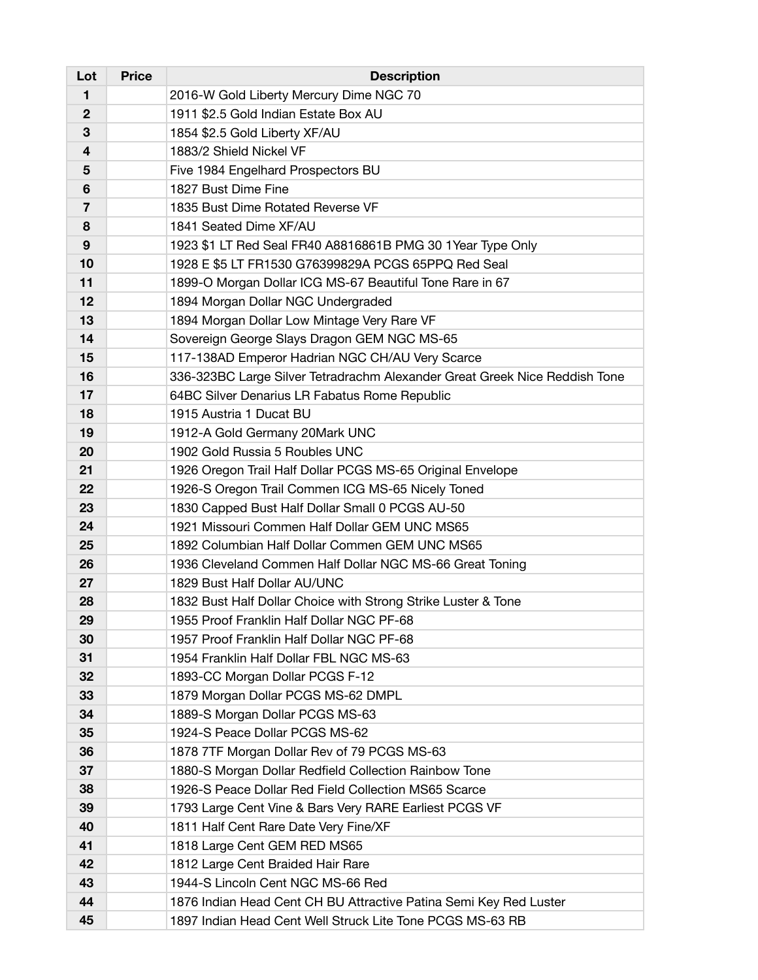| Lot            | <b>Price</b> | <b>Description</b>                                                         |
|----------------|--------------|----------------------------------------------------------------------------|
| 1              |              | 2016-W Gold Liberty Mercury Dime NGC 70                                    |
| 2              |              | 1911 \$2.5 Gold Indian Estate Box AU                                       |
| 3              |              | 1854 \$2.5 Gold Liberty XF/AU                                              |
| 4              |              | 1883/2 Shield Nickel VF                                                    |
| 5              |              | Five 1984 Engelhard Prospectors BU                                         |
| 6              |              | 1827 Bust Dime Fine                                                        |
| $\overline{7}$ |              | 1835 Bust Dime Rotated Reverse VF                                          |
| 8              |              | 1841 Seated Dime XF/AU                                                     |
| 9              |              | 1923 \$1 LT Red Seal FR40 A8816861B PMG 30 1Year Type Only                 |
| 10             |              | 1928 E \$5 LT FR1530 G76399829A PCGS 65PPQ Red Seal                        |
| 11             |              | 1899-O Morgan Dollar ICG MS-67 Beautiful Tone Rare in 67                   |
| 12             |              | 1894 Morgan Dollar NGC Undergraded                                         |
| 13             |              | 1894 Morgan Dollar Low Mintage Very Rare VF                                |
| 14             |              | Sovereign George Slays Dragon GEM NGC MS-65                                |
| 15             |              | 117-138AD Emperor Hadrian NGC CH/AU Very Scarce                            |
| 16             |              | 336-323BC Large Silver Tetradrachm Alexander Great Greek Nice Reddish Tone |
| 17             |              | 64BC Silver Denarius LR Fabatus Rome Republic                              |
| 18             |              | 1915 Austria 1 Ducat BU                                                    |
| 19             |              | 1912-A Gold Germany 20Mark UNC                                             |
| 20             |              | 1902 Gold Russia 5 Roubles UNC                                             |
| 21             |              | 1926 Oregon Trail Half Dollar PCGS MS-65 Original Envelope                 |
| 22             |              | 1926-S Oregon Trail Commen ICG MS-65 Nicely Toned                          |
| 23             |              | 1830 Capped Bust Half Dollar Small 0 PCGS AU-50                            |
| 24             |              | 1921 Missouri Commen Half Dollar GEM UNC MS65                              |
| 25             |              | 1892 Columbian Half Dollar Commen GEM UNC MS65                             |
| 26             |              | 1936 Cleveland Commen Half Dollar NGC MS-66 Great Toning                   |
| 27             |              | 1829 Bust Half Dollar AU/UNC                                               |
| 28             |              | 1832 Bust Half Dollar Choice with Strong Strike Luster & Tone              |
| 29             |              | 1955 Proof Franklin Half Dollar NGC PF-68                                  |
| 30             |              | 1957 Proof Franklin Half Dollar NGC PF-68                                  |
| 31             |              | 1954 Franklin Half Dollar FBL NGC MS-63                                    |
| 32             |              | 1893-CC Morgan Dollar PCGS F-12                                            |
| 33             |              | 1879 Morgan Dollar PCGS MS-62 DMPL                                         |
| 34             |              | 1889-S Morgan Dollar PCGS MS-63                                            |
| 35             |              | 1924-S Peace Dollar PCGS MS-62                                             |
| 36             |              | 1878 7TF Morgan Dollar Rev of 79 PCGS MS-63                                |
| 37             |              | 1880-S Morgan Dollar Redfield Collection Rainbow Tone                      |
| 38             |              | 1926-S Peace Dollar Red Field Collection MS65 Scarce                       |
| 39             |              | 1793 Large Cent Vine & Bars Very RARE Earliest PCGS VF                     |
| 40             |              | 1811 Half Cent Rare Date Very Fine/XF                                      |
| 41             |              | 1818 Large Cent GEM RED MS65                                               |
| 42             |              | 1812 Large Cent Braided Hair Rare                                          |
| 43             |              | 1944-S Lincoln Cent NGC MS-66 Red                                          |
| 44             |              | 1876 Indian Head Cent CH BU Attractive Patina Semi Key Red Luster          |
| 45             |              | 1897 Indian Head Cent Well Struck Lite Tone PCGS MS-63 RB                  |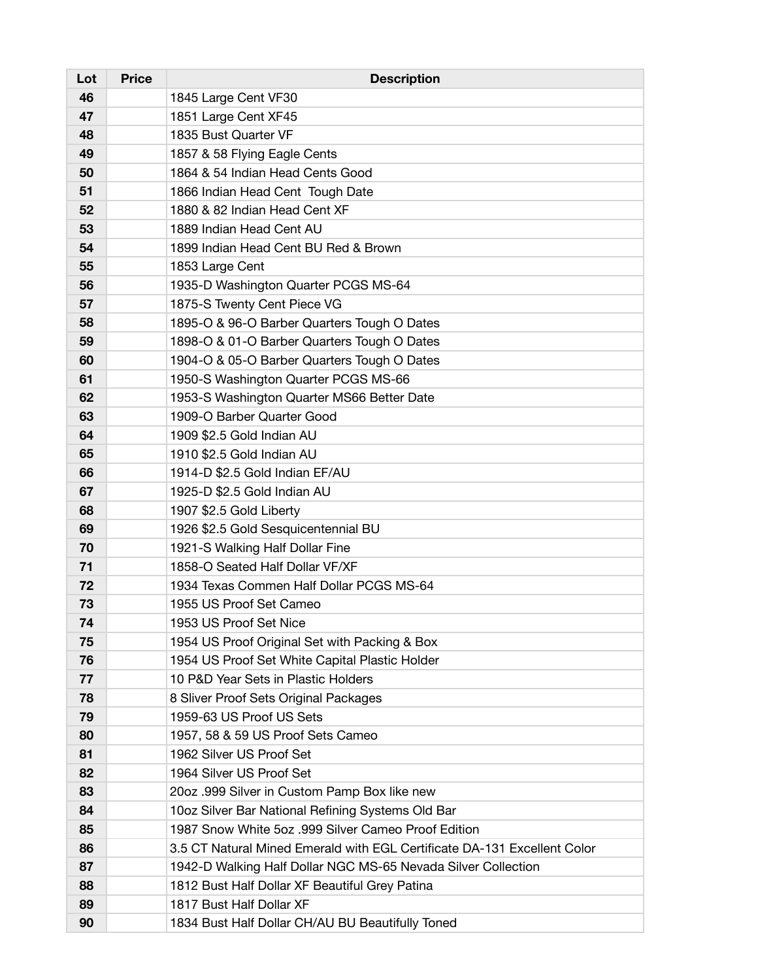| Lot | <b>Price</b> | <b>Description</b>                                                       |
|-----|--------------|--------------------------------------------------------------------------|
| 46  |              | 1845 Large Cent VF30                                                     |
| 47  |              | 1851 Large Cent XF45                                                     |
| 48  |              | 1835 Bust Quarter VF                                                     |
| 49  |              | 1857 & 58 Flying Eagle Cents                                             |
| 50  |              | 1864 & 54 Indian Head Cents Good                                         |
| 51  |              | 1866 Indian Head Cent Tough Date                                         |
| 52  |              | 1880 & 82 Indian Head Cent XF                                            |
| 53  |              | 1889 Indian Head Cent AU                                                 |
| 54  |              | 1899 Indian Head Cent BU Red & Brown                                     |
| 55  |              | 1853 Large Cent                                                          |
| 56  |              | 1935-D Washington Quarter PCGS MS-64                                     |
| 57  |              | 1875-S Twenty Cent Piece VG                                              |
| 58  |              | 1895-O & 96-O Barber Quarters Tough O Dates                              |
| 59  |              | 1898-O & 01-O Barber Quarters Tough O Dates                              |
| 60  |              | 1904-O & 05-O Barber Quarters Tough O Dates                              |
| 61  |              | 1950-S Washington Quarter PCGS MS-66                                     |
| 62  |              | 1953-S Washington Quarter MS66 Better Date                               |
| 63  |              | 1909-O Barber Quarter Good                                               |
| 64  |              | 1909 \$2.5 Gold Indian AU                                                |
| 65  |              | 1910 \$2.5 Gold Indian AU                                                |
| 66  |              | 1914-D \$2.5 Gold Indian EF/AU                                           |
| 67  |              | 1925-D \$2.5 Gold Indian AU                                              |
| 68  |              | 1907 \$2.5 Gold Liberty                                                  |
| 69  |              | 1926 \$2.5 Gold Sesquicentennial BU                                      |
| 70  |              | 1921-S Walking Half Dollar Fine                                          |
| 71  |              | 1858-O Seated Half Dollar VF/XF                                          |
| 72  |              | 1934 Texas Commen Half Dollar PCGS MS-64                                 |
| 73  |              | 1955 US Proof Set Cameo                                                  |
| 74  |              | 1953 US Proof Set Nice                                                   |
| 75  |              | 1954 US Proof Original Set with Packing & Box                            |
| 76  |              | 1954 US Proof Set White Capital Plastic Holder                           |
| 77  |              | 10 P&D Year Sets in Plastic Holders                                      |
| 78  |              | 8 Sliver Proof Sets Original Packages                                    |
| 79  |              | 1959-63 US Proof US Sets                                                 |
| 80  |              | 1957, 58 & 59 US Proof Sets Cameo                                        |
| 81  |              | 1962 Silver US Proof Set                                                 |
| 82  |              | 1964 Silver US Proof Set                                                 |
| 83  |              | 20oz .999 Silver in Custom Pamp Box like new                             |
| 84  |              | 10oz Silver Bar National Refining Systems Old Bar                        |
| 85  |              | 1987 Snow White 5oz .999 Silver Cameo Proof Edition                      |
| 86  |              | 3.5 CT Natural Mined Emerald with EGL Certificate DA-131 Excellent Color |
| 87  |              | 1942-D Walking Half Dollar NGC MS-65 Nevada Silver Collection            |
| 88  |              | 1812 Bust Half Dollar XF Beautiful Grey Patina                           |
| 89  |              | 1817 Bust Half Dollar XF                                                 |
| 90  |              | 1834 Bust Half Dollar CH/AU BU Beautifully Toned                         |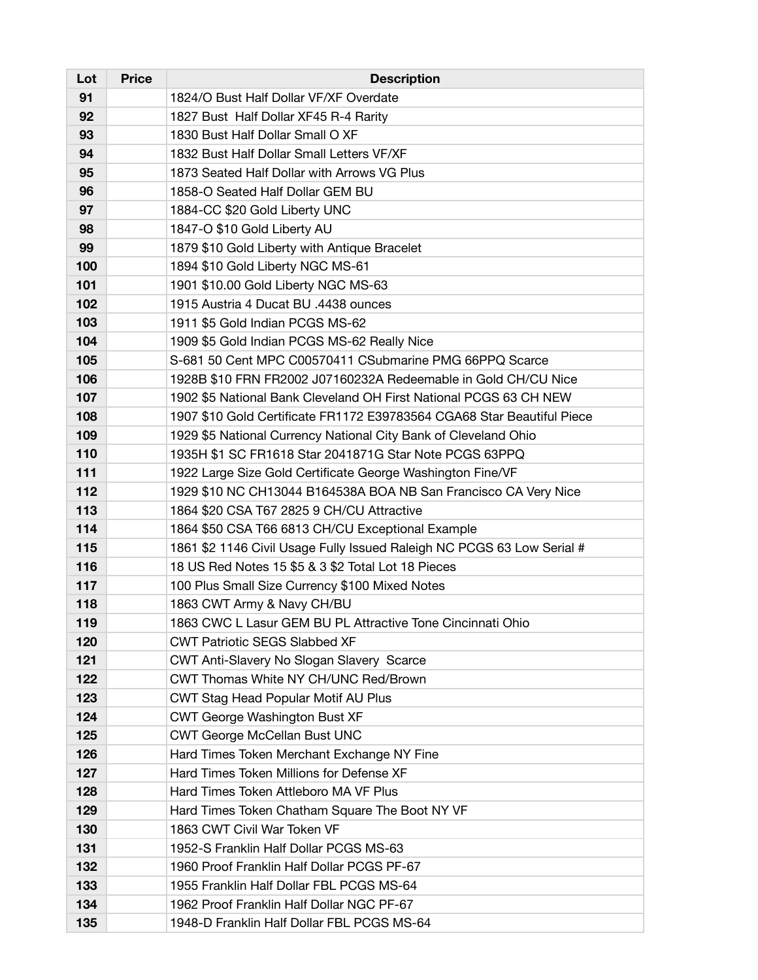| Lot | <b>Price</b> | <b>Description</b>                                                     |
|-----|--------------|------------------------------------------------------------------------|
| 91  |              | 1824/O Bust Half Dollar VF/XF Overdate                                 |
| 92  |              | 1827 Bust Half Dollar XF45 R-4 Rarity                                  |
| 93  |              | 1830 Bust Half Dollar Small O XF                                       |
| 94  |              | 1832 Bust Half Dollar Small Letters VF/XF                              |
| 95  |              | 1873 Seated Half Dollar with Arrows VG Plus                            |
| 96  |              | 1858-O Seated Half Dollar GEM BU                                       |
| 97  |              | 1884-CC \$20 Gold Liberty UNC                                          |
| 98  |              | 1847-O \$10 Gold Liberty AU                                            |
| 99  |              | 1879 \$10 Gold Liberty with Antique Bracelet                           |
| 100 |              | 1894 \$10 Gold Liberty NGC MS-61                                       |
| 101 |              | 1901 \$10.00 Gold Liberty NGC MS-63                                    |
| 102 |              | 1915 Austria 4 Ducat BU .4438 ounces                                   |
| 103 |              | 1911 \$5 Gold Indian PCGS MS-62                                        |
| 104 |              | 1909 \$5 Gold Indian PCGS MS-62 Really Nice                            |
| 105 |              | S-681 50 Cent MPC C00570411 CSubmarine PMG 66PPQ Scarce                |
| 106 |              | 1928B \$10 FRN FR2002 J07160232A Redeemable in Gold CH/CU Nice         |
| 107 |              | 1902 \$5 National Bank Cleveland OH First National PCGS 63 CH NEW      |
| 108 |              | 1907 \$10 Gold Certificate FR1172 E39783564 CGA68 Star Beautiful Piece |
| 109 |              | 1929 \$5 National Currency National City Bank of Cleveland Ohio        |
| 110 |              | 1935H \$1 SC FR1618 Star 2041871G Star Note PCGS 63PPQ                 |
| 111 |              | 1922 Large Size Gold Certificate George Washington Fine/VF             |
| 112 |              | 1929 \$10 NC CH13044 B164538A BOA NB San Francisco CA Very Nice        |
| 113 |              | 1864 \$20 CSA T67 2825 9 CH/CU Attractive                              |
| 114 |              | 1864 \$50 CSA T66 6813 CH/CU Exceptional Example                       |
| 115 |              | 1861 \$2 1146 Civil Usage Fully Issued Raleigh NC PCGS 63 Low Serial # |
| 116 |              | 18 US Red Notes 15 \$5 & 3 \$2 Total Lot 18 Pieces                     |
| 117 |              | 100 Plus Small Size Currency \$100 Mixed Notes                         |
| 118 |              | 1863 CWT Army & Navy CH/BU                                             |
| 119 |              | 1863 CWC L Lasur GEM BU PL Attractive Tone Cincinnati Ohio             |
| 120 |              | <b>CWT Patriotic SEGS Slabbed XF</b>                                   |
| 121 |              | CWT Anti-Slavery No Slogan Slavery Scarce                              |
| 122 |              | CWT Thomas White NY CH/UNC Red/Brown                                   |
| 123 |              | CWT Stag Head Popular Motif AU Plus                                    |
| 124 |              | CWT George Washington Bust XF                                          |
| 125 |              | <b>CWT George McCellan Bust UNC</b>                                    |
| 126 |              | Hard Times Token Merchant Exchange NY Fine                             |
| 127 |              | Hard Times Token Millions for Defense XF                               |
| 128 |              | Hard Times Token Attleboro MA VF Plus                                  |
| 129 |              | Hard Times Token Chatham Square The Boot NY VF                         |
| 130 |              | 1863 CWT Civil War Token VF                                            |
| 131 |              | 1952-S Franklin Half Dollar PCGS MS-63                                 |
| 132 |              | 1960 Proof Franklin Half Dollar PCGS PF-67                             |
| 133 |              | 1955 Franklin Half Dollar FBL PCGS MS-64                               |
| 134 |              | 1962 Proof Franklin Half Dollar NGC PF-67                              |
| 135 |              | 1948-D Franklin Half Dollar FBL PCGS MS-64                             |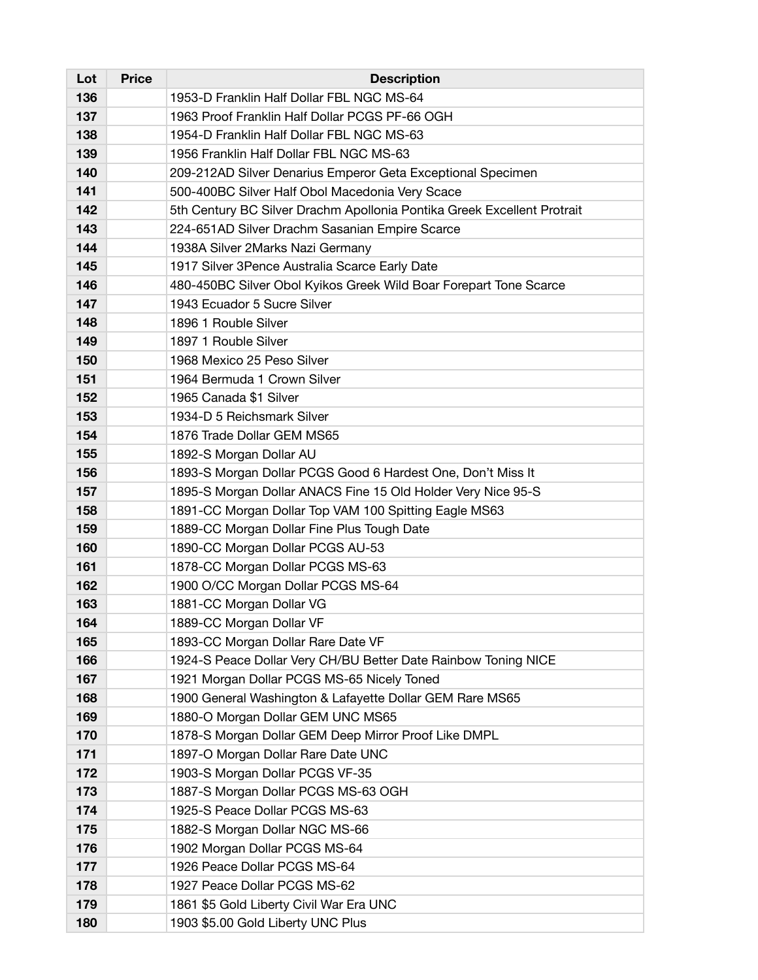| Lot | <b>Price</b> | <b>Description</b>                                                      |
|-----|--------------|-------------------------------------------------------------------------|
| 136 |              | 1953-D Franklin Half Dollar FBL NGC MS-64                               |
| 137 |              | 1963 Proof Franklin Half Dollar PCGS PF-66 OGH                          |
| 138 |              | 1954-D Franklin Half Dollar FBL NGC MS-63                               |
| 139 |              | 1956 Franklin Half Dollar FBL NGC MS-63                                 |
| 140 |              | 209-212AD Silver Denarius Emperor Geta Exceptional Specimen             |
| 141 |              | 500-400BC Silver Half Obol Macedonia Very Scace                         |
| 142 |              | 5th Century BC Silver Drachm Apollonia Pontika Greek Excellent Protrait |
| 143 |              | 224-651AD Silver Drachm Sasanian Empire Scarce                          |
| 144 |              | 1938A Silver 2Marks Nazi Germany                                        |
| 145 |              | 1917 Silver 3Pence Australia Scarce Early Date                          |
| 146 |              | 480-450BC Silver Obol Kyikos Greek Wild Boar Forepart Tone Scarce       |
| 147 |              | 1943 Ecuador 5 Sucre Silver                                             |
| 148 |              | 1896 1 Rouble Silver                                                    |
| 149 |              | 1897 1 Rouble Silver                                                    |
| 150 |              | 1968 Mexico 25 Peso Silver                                              |
| 151 |              | 1964 Bermuda 1 Crown Silver                                             |
| 152 |              | 1965 Canada \$1 Silver                                                  |
| 153 |              | 1934-D 5 Reichsmark Silver                                              |
| 154 |              | 1876 Trade Dollar GEM MS65                                              |
| 155 |              | 1892-S Morgan Dollar AU                                                 |
| 156 |              | 1893-S Morgan Dollar PCGS Good 6 Hardest One, Don't Miss It             |
| 157 |              | 1895-S Morgan Dollar ANACS Fine 15 Old Holder Very Nice 95-S            |
| 158 |              | 1891-CC Morgan Dollar Top VAM 100 Spitting Eagle MS63                   |
| 159 |              | 1889-CC Morgan Dollar Fine Plus Tough Date                              |
| 160 |              | 1890-CC Morgan Dollar PCGS AU-53                                        |
| 161 |              | 1878-CC Morgan Dollar PCGS MS-63                                        |
| 162 |              | 1900 O/CC Morgan Dollar PCGS MS-64                                      |
| 163 |              | 1881-CC Morgan Dollar VG                                                |
| 164 |              | 1889-CC Morgan Dollar VF                                                |
| 165 |              | 1893-CC Morgan Dollar Rare Date VF                                      |
| 166 |              | 1924-S Peace Dollar Very CH/BU Better Date Rainbow Toning NICE          |
| 167 |              | 1921 Morgan Dollar PCGS MS-65 Nicely Toned                              |
| 168 |              | 1900 General Washington & Lafayette Dollar GEM Rare MS65                |
| 169 |              | 1880-O Morgan Dollar GEM UNC MS65                                       |
| 170 |              | 1878-S Morgan Dollar GEM Deep Mirror Proof Like DMPL                    |
| 171 |              | 1897-O Morgan Dollar Rare Date UNC                                      |
| 172 |              | 1903-S Morgan Dollar PCGS VF-35                                         |
| 173 |              | 1887-S Morgan Dollar PCGS MS-63 OGH                                     |
| 174 |              | 1925-S Peace Dollar PCGS MS-63                                          |
| 175 |              | 1882-S Morgan Dollar NGC MS-66                                          |
| 176 |              | 1902 Morgan Dollar PCGS MS-64                                           |
| 177 |              | 1926 Peace Dollar PCGS MS-64                                            |
| 178 |              | 1927 Peace Dollar PCGS MS-62                                            |
| 179 |              | 1861 \$5 Gold Liberty Civil War Era UNC                                 |
| 180 |              | 1903 \$5.00 Gold Liberty UNC Plus                                       |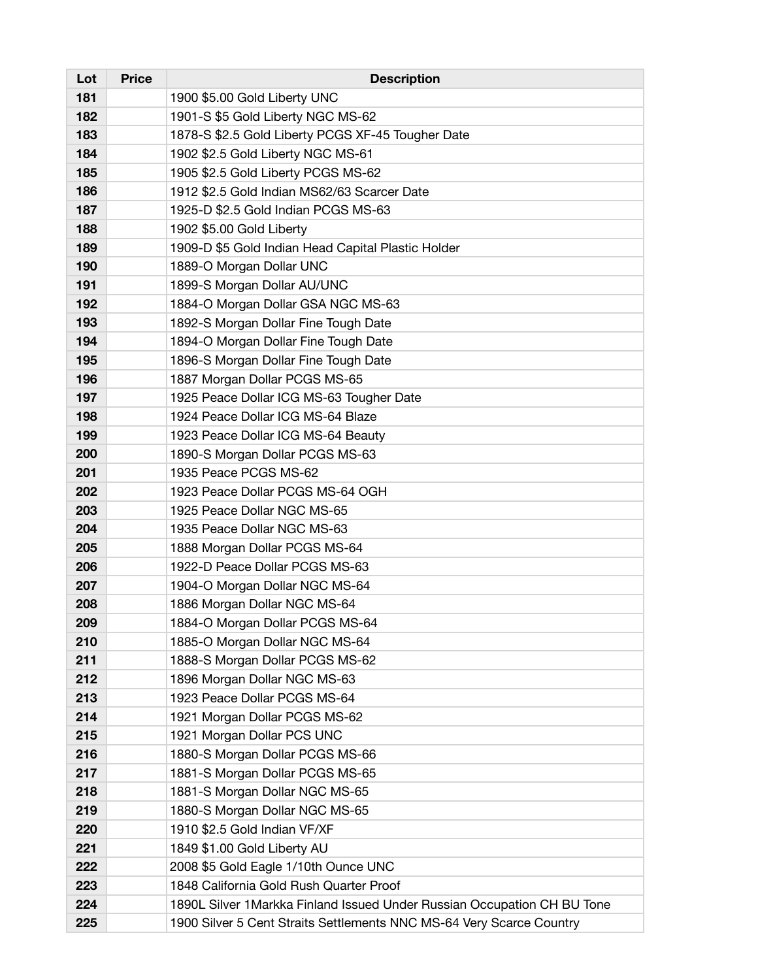| Lot | <b>Price</b> | <b>Description</b>                                                       |
|-----|--------------|--------------------------------------------------------------------------|
| 181 |              | 1900 \$5.00 Gold Liberty UNC                                             |
| 182 |              | 1901-S \$5 Gold Liberty NGC MS-62                                        |
| 183 |              | 1878-S \$2.5 Gold Liberty PCGS XF-45 Tougher Date                        |
| 184 |              | 1902 \$2.5 Gold Liberty NGC MS-61                                        |
| 185 |              | 1905 \$2.5 Gold Liberty PCGS MS-62                                       |
| 186 |              | 1912 \$2.5 Gold Indian MS62/63 Scarcer Date                              |
| 187 |              | 1925-D \$2.5 Gold Indian PCGS MS-63                                      |
| 188 |              | 1902 \$5.00 Gold Liberty                                                 |
| 189 |              | 1909-D \$5 Gold Indian Head Capital Plastic Holder                       |
| 190 |              | 1889-O Morgan Dollar UNC                                                 |
| 191 |              | 1899-S Morgan Dollar AU/UNC                                              |
| 192 |              | 1884-O Morgan Dollar GSA NGC MS-63                                       |
| 193 |              | 1892-S Morgan Dollar Fine Tough Date                                     |
| 194 |              | 1894-O Morgan Dollar Fine Tough Date                                     |
| 195 |              | 1896-S Morgan Dollar Fine Tough Date                                     |
| 196 |              | 1887 Morgan Dollar PCGS MS-65                                            |
| 197 |              | 1925 Peace Dollar ICG MS-63 Tougher Date                                 |
| 198 |              | 1924 Peace Dollar ICG MS-64 Blaze                                        |
| 199 |              | 1923 Peace Dollar ICG MS-64 Beauty                                       |
| 200 |              | 1890-S Morgan Dollar PCGS MS-63                                          |
| 201 |              | 1935 Peace PCGS MS-62                                                    |
| 202 |              | 1923 Peace Dollar PCGS MS-64 OGH                                         |
| 203 |              | 1925 Peace Dollar NGC MS-65                                              |
| 204 |              | 1935 Peace Dollar NGC MS-63                                              |
| 205 |              | 1888 Morgan Dollar PCGS MS-64                                            |
| 206 |              | 1922-D Peace Dollar PCGS MS-63                                           |
| 207 |              | 1904-O Morgan Dollar NGC MS-64                                           |
| 208 |              | 1886 Morgan Dollar NGC MS-64                                             |
| 209 |              | 1884-O Morgan Dollar PCGS MS-64                                          |
| 210 |              | 1885-O Morgan Dollar NGC MS-64                                           |
| 211 |              | 1888-S Morgan Dollar PCGS MS-62                                          |
| 212 |              | 1896 Morgan Dollar NGC MS-63                                             |
| 213 |              | 1923 Peace Dollar PCGS MS-64                                             |
| 214 |              | 1921 Morgan Dollar PCGS MS-62                                            |
| 215 |              | 1921 Morgan Dollar PCS UNC                                               |
| 216 |              | 1880-S Morgan Dollar PCGS MS-66                                          |
| 217 |              | 1881-S Morgan Dollar PCGS MS-65                                          |
| 218 |              | 1881-S Morgan Dollar NGC MS-65                                           |
| 219 |              | 1880-S Morgan Dollar NGC MS-65                                           |
| 220 |              | 1910 \$2.5 Gold Indian VF/XF                                             |
| 221 |              | 1849 \$1.00 Gold Liberty AU                                              |
| 222 |              | 2008 \$5 Gold Eagle 1/10th Ounce UNC                                     |
| 223 |              | 1848 California Gold Rush Quarter Proof                                  |
| 224 |              | 1890L Silver 1 Markka Finland Issued Under Russian Occupation CH BU Tone |
| 225 |              | 1900 Silver 5 Cent Straits Settlements NNC MS-64 Very Scarce Country     |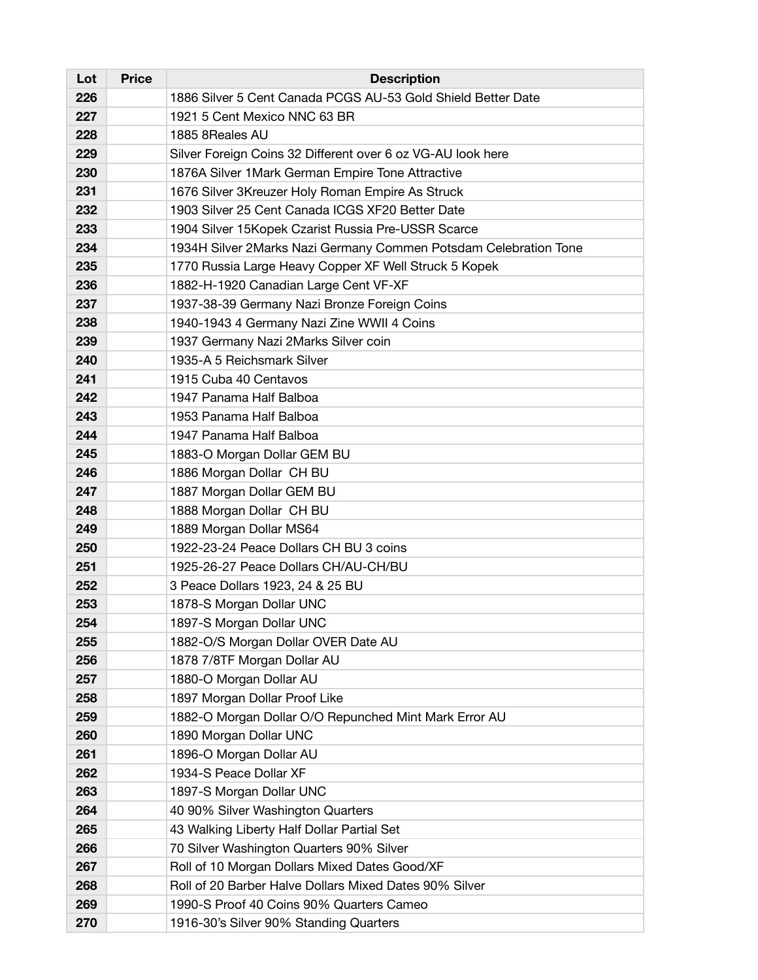| Lot | <b>Price</b> | <b>Description</b>                                               |
|-----|--------------|------------------------------------------------------------------|
| 226 |              | 1886 Silver 5 Cent Canada PCGS AU-53 Gold Shield Better Date     |
| 227 |              | 1921 5 Cent Mexico NNC 63 BR                                     |
| 228 |              | 1885 8Reales AU                                                  |
| 229 |              | Silver Foreign Coins 32 Different over 6 oz VG-AU look here      |
| 230 |              | 1876A Silver 1Mark German Empire Tone Attractive                 |
| 231 |              | 1676 Silver 3Kreuzer Holy Roman Empire As Struck                 |
| 232 |              | 1903 Silver 25 Cent Canada ICGS XF20 Better Date                 |
| 233 |              | 1904 Silver 15Kopek Czarist Russia Pre-USSR Scarce               |
| 234 |              | 1934H Silver 2Marks Nazi Germany Commen Potsdam Celebration Tone |
| 235 |              | 1770 Russia Large Heavy Copper XF Well Struck 5 Kopek            |
| 236 |              | 1882-H-1920 Canadian Large Cent VF-XF                            |
| 237 |              | 1937-38-39 Germany Nazi Bronze Foreign Coins                     |
| 238 |              | 1940-1943 4 Germany Nazi Zine WWII 4 Coins                       |
| 239 |              | 1937 Germany Nazi 2Marks Silver coin                             |
| 240 |              | 1935-A 5 Reichsmark Silver                                       |
| 241 |              | 1915 Cuba 40 Centavos                                            |
| 242 |              | 1947 Panama Half Balboa                                          |
| 243 |              | 1953 Panama Half Balboa                                          |
| 244 |              | 1947 Panama Half Balboa                                          |
| 245 |              | 1883-O Morgan Dollar GEM BU                                      |
| 246 |              | 1886 Morgan Dollar CH BU                                         |
| 247 |              | 1887 Morgan Dollar GEM BU                                        |
| 248 |              | 1888 Morgan Dollar CH BU                                         |
| 249 |              | 1889 Morgan Dollar MS64                                          |
| 250 |              | 1922-23-24 Peace Dollars CH BU 3 coins                           |
| 251 |              | 1925-26-27 Peace Dollars CH/AU-CH/BU                             |
| 252 |              | 3 Peace Dollars 1923, 24 & 25 BU                                 |
| 253 |              | 1878-S Morgan Dollar UNC                                         |
| 254 |              | 1897-S Morgan Dollar UNC                                         |
| 255 |              | 1882-O/S Morgan Dollar OVER Date AU                              |
| 256 |              | 1878 7/8TF Morgan Dollar AU                                      |
| 257 |              | 1880-O Morgan Dollar AU                                          |
| 258 |              | 1897 Morgan Dollar Proof Like                                    |
| 259 |              | 1882-O Morgan Dollar O/O Repunched Mint Mark Error AU            |
| 260 |              | 1890 Morgan Dollar UNC                                           |
| 261 |              | 1896-O Morgan Dollar AU                                          |
| 262 |              | 1934-S Peace Dollar XF                                           |
| 263 |              | 1897-S Morgan Dollar UNC                                         |
| 264 |              | 40 90% Silver Washington Quarters                                |
| 265 |              | 43 Walking Liberty Half Dollar Partial Set                       |
| 266 |              | 70 Silver Washington Quarters 90% Silver                         |
| 267 |              | Roll of 10 Morgan Dollars Mixed Dates Good/XF                    |
| 268 |              | Roll of 20 Barber Halve Dollars Mixed Dates 90% Silver           |
| 269 |              | 1990-S Proof 40 Coins 90% Quarters Cameo                         |
| 270 |              | 1916-30's Silver 90% Standing Quarters                           |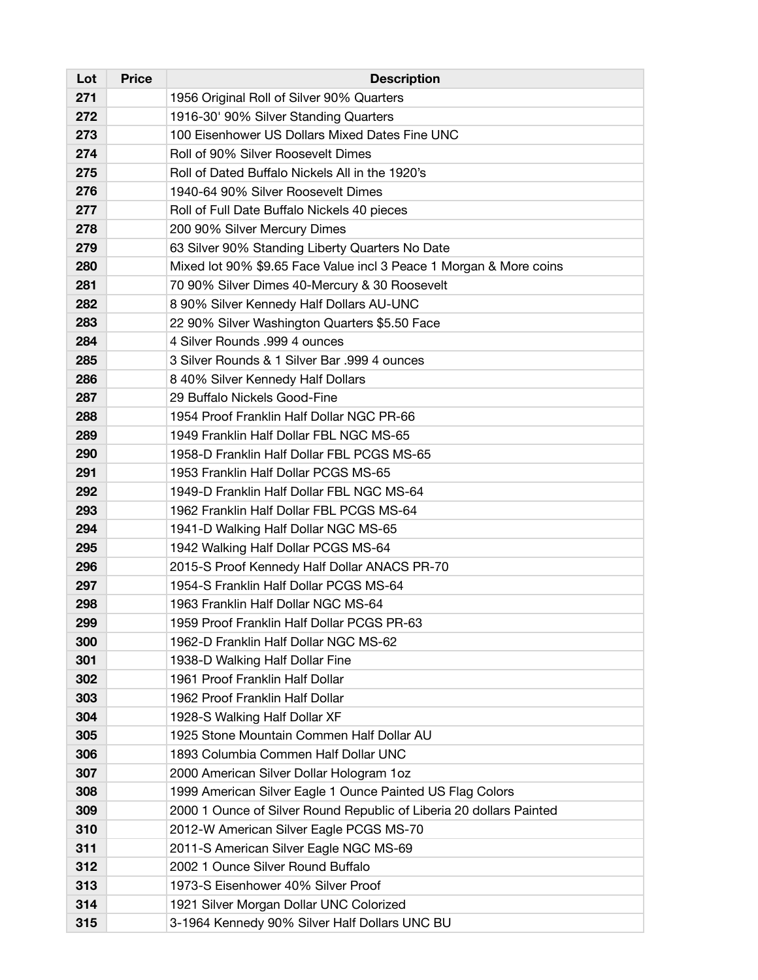| Lot | <b>Price</b> | <b>Description</b>                                                  |
|-----|--------------|---------------------------------------------------------------------|
| 271 |              | 1956 Original Roll of Silver 90% Quarters                           |
| 272 |              | 1916-30' 90% Silver Standing Quarters                               |
| 273 |              | 100 Eisenhower US Dollars Mixed Dates Fine UNC                      |
| 274 |              | Roll of 90% Silver Roosevelt Dimes                                  |
| 275 |              | Roll of Dated Buffalo Nickels All in the 1920's                     |
| 276 |              | 1940-64 90% Silver Roosevelt Dimes                                  |
| 277 |              | Roll of Full Date Buffalo Nickels 40 pieces                         |
| 278 |              | 200 90% Silver Mercury Dimes                                        |
| 279 |              | 63 Silver 90% Standing Liberty Quarters No Date                     |
| 280 |              | Mixed lot 90% \$9.65 Face Value incl 3 Peace 1 Morgan & More coins  |
| 281 |              | 70 90% Silver Dimes 40-Mercury & 30 Roosevelt                       |
| 282 |              | 8 90% Silver Kennedy Half Dollars AU-UNC                            |
| 283 |              | 22 90% Silver Washington Quarters \$5.50 Face                       |
| 284 |              | 4 Silver Rounds .999 4 ounces                                       |
| 285 |              | 3 Silver Rounds & 1 Silver Bar .999 4 ounces                        |
| 286 |              | 8 40% Silver Kennedy Half Dollars                                   |
| 287 |              | 29 Buffalo Nickels Good-Fine                                        |
| 288 |              | 1954 Proof Franklin Half Dollar NGC PR-66                           |
| 289 |              | 1949 Franklin Half Dollar FBL NGC MS-65                             |
| 290 |              | 1958-D Franklin Half Dollar FBL PCGS MS-65                          |
| 291 |              | 1953 Franklin Half Dollar PCGS MS-65                                |
| 292 |              | 1949-D Franklin Half Dollar FBL NGC MS-64                           |
| 293 |              | 1962 Franklin Half Dollar FBL PCGS MS-64                            |
| 294 |              | 1941-D Walking Half Dollar NGC MS-65                                |
| 295 |              | 1942 Walking Half Dollar PCGS MS-64                                 |
| 296 |              | 2015-S Proof Kennedy Half Dollar ANACS PR-70                        |
| 297 |              | 1954-S Franklin Half Dollar PCGS MS-64                              |
| 298 |              | 1963 Franklin Half Dollar NGC MS-64                                 |
| 299 |              | 1959 Proof Franklin Half Dollar PCGS PR-63                          |
| 300 |              | 1962-D Franklin Half Dollar NGC MS-62                               |
| 301 |              | 1938-D Walking Half Dollar Fine                                     |
| 302 |              | 1961 Proof Franklin Half Dollar                                     |
| 303 |              | 1962 Proof Franklin Half Dollar                                     |
| 304 |              | 1928-S Walking Half Dollar XF                                       |
| 305 |              | 1925 Stone Mountain Commen Half Dollar AU                           |
| 306 |              | 1893 Columbia Commen Half Dollar UNC                                |
| 307 |              | 2000 American Silver Dollar Hologram 1oz                            |
| 308 |              | 1999 American Silver Eagle 1 Ounce Painted US Flag Colors           |
| 309 |              | 2000 1 Ounce of Silver Round Republic of Liberia 20 dollars Painted |
| 310 |              | 2012-W American Silver Eagle PCGS MS-70                             |
| 311 |              | 2011-S American Silver Eagle NGC MS-69                              |
| 312 |              | 2002 1 Ounce Silver Round Buffalo                                   |
| 313 |              | 1973-S Eisenhower 40% Silver Proof                                  |
| 314 |              | 1921 Silver Morgan Dollar UNC Colorized                             |
| 315 |              | 3-1964 Kennedy 90% Silver Half Dollars UNC BU                       |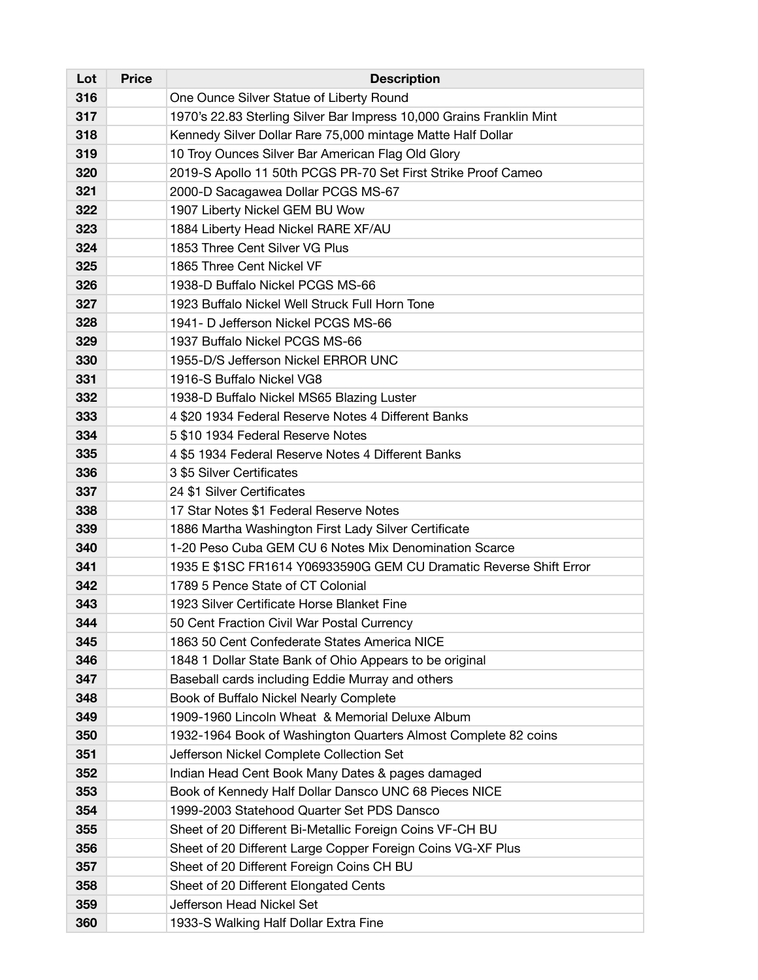| Lot | <b>Price</b> | <b>Description</b>                                                   |
|-----|--------------|----------------------------------------------------------------------|
| 316 |              | One Ounce Silver Statue of Liberty Round                             |
| 317 |              | 1970's 22.83 Sterling Silver Bar Impress 10,000 Grains Franklin Mint |
| 318 |              | Kennedy Silver Dollar Rare 75,000 mintage Matte Half Dollar          |
| 319 |              | 10 Troy Ounces Silver Bar American Flag Old Glory                    |
| 320 |              | 2019-S Apollo 11 50th PCGS PR-70 Set First Strike Proof Cameo        |
| 321 |              | 2000-D Sacagawea Dollar PCGS MS-67                                   |
| 322 |              | 1907 Liberty Nickel GEM BU Wow                                       |
| 323 |              | 1884 Liberty Head Nickel RARE XF/AU                                  |
| 324 |              | 1853 Three Cent Silver VG Plus                                       |
| 325 |              | 1865 Three Cent Nickel VF                                            |
| 326 |              | 1938-D Buffalo Nickel PCGS MS-66                                     |
| 327 |              | 1923 Buffalo Nickel Well Struck Full Horn Tone                       |
| 328 |              | 1941- D Jefferson Nickel PCGS MS-66                                  |
| 329 |              | 1937 Buffalo Nickel PCGS MS-66                                       |
| 330 |              | 1955-D/S Jefferson Nickel ERROR UNC                                  |
| 331 |              | 1916-S Buffalo Nickel VG8                                            |
| 332 |              | 1938-D Buffalo Nickel MS65 Blazing Luster                            |
| 333 |              | 4 \$20 1934 Federal Reserve Notes 4 Different Banks                  |
| 334 |              | 5 \$10 1934 Federal Reserve Notes                                    |
| 335 |              | 4 \$5 1934 Federal Reserve Notes 4 Different Banks                   |
| 336 |              | 3 \$5 Silver Certificates                                            |
| 337 |              | 24 \$1 Silver Certificates                                           |
| 338 |              | 17 Star Notes \$1 Federal Reserve Notes                              |
| 339 |              | 1886 Martha Washington First Lady Silver Certificate                 |
| 340 |              | 1-20 Peso Cuba GEM CU 6 Notes Mix Denomination Scarce                |
| 341 |              | 1935 E \$1SC FR1614 Y06933590G GEM CU Dramatic Reverse Shift Error   |
| 342 |              | 1789 5 Pence State of CT Colonial                                    |
| 343 |              | 1923 Silver Certificate Horse Blanket Fine                           |
| 344 |              | 50 Cent Fraction Civil War Postal Currency                           |
| 345 |              | 1863 50 Cent Confederate States America NICE                         |
| 346 |              | 1848 1 Dollar State Bank of Ohio Appears to be original              |
| 347 |              | Baseball cards including Eddie Murray and others                     |
| 348 |              | Book of Buffalo Nickel Nearly Complete                               |
| 349 |              | 1909-1960 Lincoln Wheat & Memorial Deluxe Album                      |
| 350 |              | 1932-1964 Book of Washington Quarters Almost Complete 82 coins       |
| 351 |              | Jefferson Nickel Complete Collection Set                             |
| 352 |              | Indian Head Cent Book Many Dates & pages damaged                     |
| 353 |              | Book of Kennedy Half Dollar Dansco UNC 68 Pieces NICE                |
| 354 |              | 1999-2003 Statehood Quarter Set PDS Dansco                           |
| 355 |              | Sheet of 20 Different Bi-Metallic Foreign Coins VF-CH BU             |
| 356 |              | Sheet of 20 Different Large Copper Foreign Coins VG-XF Plus          |
| 357 |              | Sheet of 20 Different Foreign Coins CH BU                            |
| 358 |              | Sheet of 20 Different Elongated Cents                                |
| 359 |              | Jefferson Head Nickel Set                                            |
| 360 |              | 1933-S Walking Half Dollar Extra Fine                                |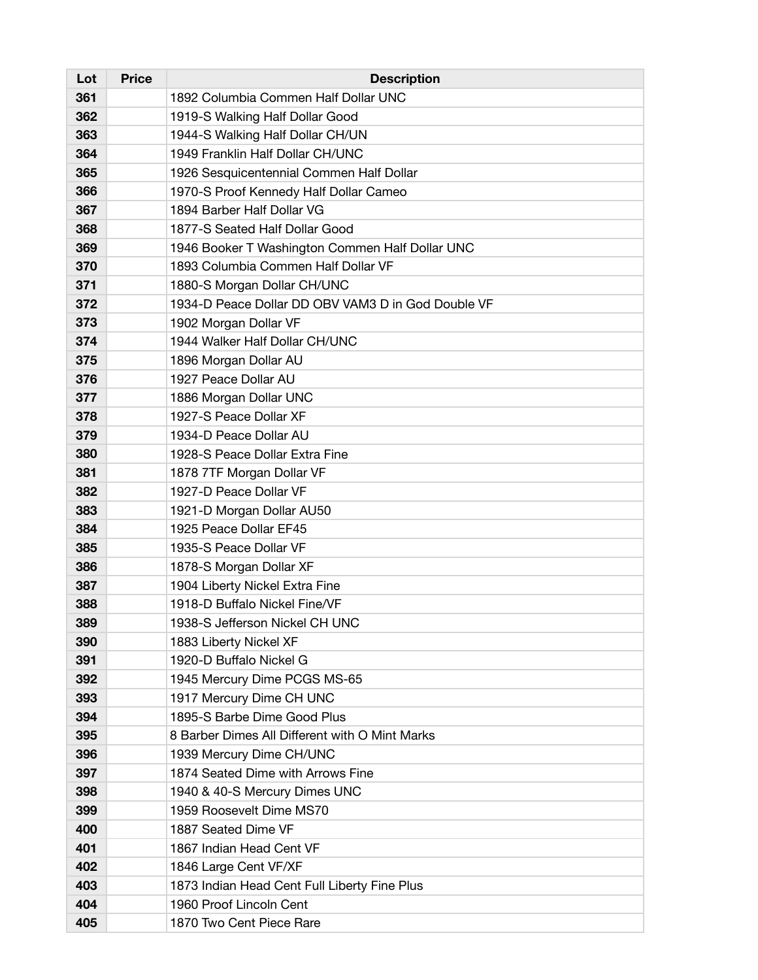| Lot | <b>Price</b> | <b>Description</b>                                 |
|-----|--------------|----------------------------------------------------|
| 361 |              | 1892 Columbia Commen Half Dollar UNC               |
| 362 |              | 1919-S Walking Half Dollar Good                    |
| 363 |              | 1944-S Walking Half Dollar CH/UN                   |
| 364 |              | 1949 Franklin Half Dollar CH/UNC                   |
| 365 |              | 1926 Sesquicentennial Commen Half Dollar           |
| 366 |              | 1970-S Proof Kennedy Half Dollar Cameo             |
| 367 |              | 1894 Barber Half Dollar VG                         |
| 368 |              | 1877-S Seated Half Dollar Good                     |
| 369 |              | 1946 Booker T Washington Commen Half Dollar UNC    |
| 370 |              | 1893 Columbia Commen Half Dollar VF                |
| 371 |              | 1880-S Morgan Dollar CH/UNC                        |
| 372 |              | 1934-D Peace Dollar DD OBV VAM3 D in God Double VF |
| 373 |              | 1902 Morgan Dollar VF                              |
| 374 |              | 1944 Walker Half Dollar CH/UNC                     |
| 375 |              | 1896 Morgan Dollar AU                              |
| 376 |              | 1927 Peace Dollar AU                               |
| 377 |              | 1886 Morgan Dollar UNC                             |
| 378 |              | 1927-S Peace Dollar XF                             |
| 379 |              | 1934-D Peace Dollar AU                             |
| 380 |              | 1928-S Peace Dollar Extra Fine                     |
| 381 |              | 1878 7TF Morgan Dollar VF                          |
| 382 |              | 1927-D Peace Dollar VF                             |
| 383 |              | 1921-D Morgan Dollar AU50                          |
| 384 |              | 1925 Peace Dollar EF45                             |
| 385 |              | 1935-S Peace Dollar VF                             |
| 386 |              | 1878-S Morgan Dollar XF                            |
| 387 |              | 1904 Liberty Nickel Extra Fine                     |
| 388 |              | 1918-D Buffalo Nickel Fine/VF                      |
| 389 |              | 1938-S Jefferson Nickel CH UNC                     |
| 390 |              | 1883 Liberty Nickel XF                             |
| 391 |              | 1920-D Buffalo Nickel G                            |
| 392 |              | 1945 Mercury Dime PCGS MS-65                       |
| 393 |              | 1917 Mercury Dime CH UNC                           |
| 394 |              | 1895-S Barbe Dime Good Plus                        |
| 395 |              | 8 Barber Dimes All Different with O Mint Marks     |
| 396 |              | 1939 Mercury Dime CH/UNC                           |
| 397 |              | 1874 Seated Dime with Arrows Fine                  |
| 398 |              | 1940 & 40-S Mercury Dimes UNC                      |
| 399 |              | 1959 Roosevelt Dime MS70                           |
| 400 |              | 1887 Seated Dime VF                                |
| 401 |              | 1867 Indian Head Cent VF                           |
| 402 |              | 1846 Large Cent VF/XF                              |
| 403 |              | 1873 Indian Head Cent Full Liberty Fine Plus       |
| 404 |              | 1960 Proof Lincoln Cent                            |
| 405 |              | 1870 Two Cent Piece Rare                           |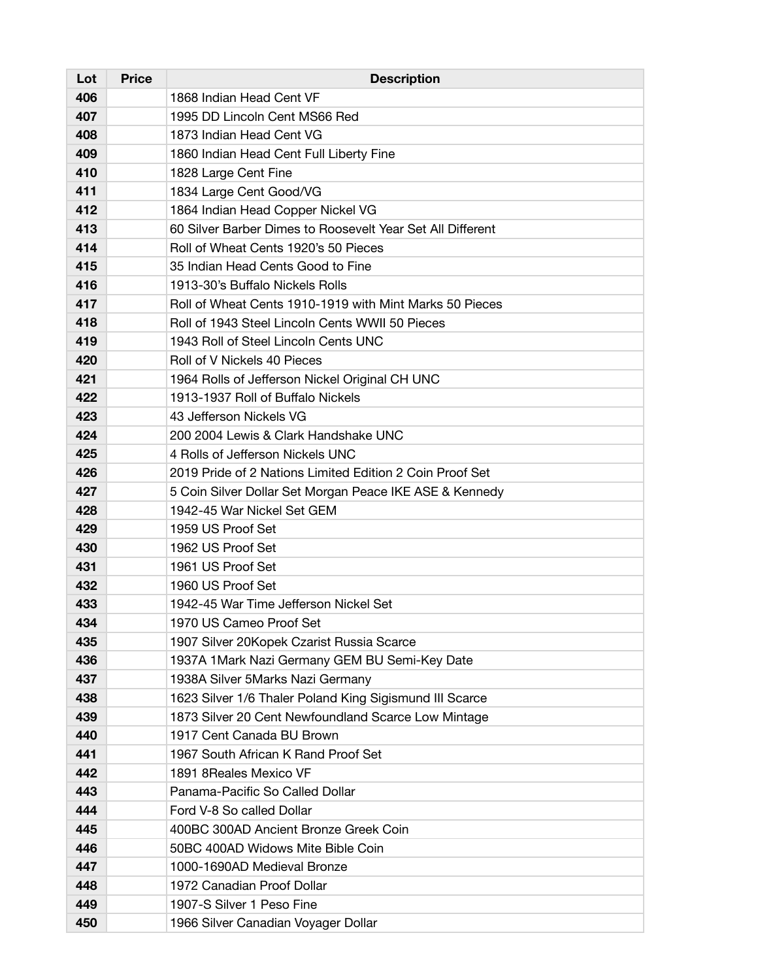| Lot | <b>Price</b> | <b>Description</b>                                         |
|-----|--------------|------------------------------------------------------------|
| 406 |              | 1868 Indian Head Cent VF                                   |
| 407 |              | 1995 DD Lincoln Cent MS66 Red                              |
| 408 |              | 1873 Indian Head Cent VG                                   |
| 409 |              | 1860 Indian Head Cent Full Liberty Fine                    |
| 410 |              | 1828 Large Cent Fine                                       |
| 411 |              | 1834 Large Cent Good/VG                                    |
| 412 |              | 1864 Indian Head Copper Nickel VG                          |
| 413 |              | 60 Silver Barber Dimes to Roosevelt Year Set All Different |
| 414 |              | Roll of Wheat Cents 1920's 50 Pieces                       |
| 415 |              | 35 Indian Head Cents Good to Fine                          |
| 416 |              | 1913-30's Buffalo Nickels Rolls                            |
| 417 |              | Roll of Wheat Cents 1910-1919 with Mint Marks 50 Pieces    |
| 418 |              | Roll of 1943 Steel Lincoln Cents WWII 50 Pieces            |
| 419 |              | 1943 Roll of Steel Lincoln Cents UNC                       |
| 420 |              | Roll of V Nickels 40 Pieces                                |
| 421 |              | 1964 Rolls of Jefferson Nickel Original CH UNC             |
| 422 |              | 1913-1937 Roll of Buffalo Nickels                          |
| 423 |              | 43 Jefferson Nickels VG                                    |
| 424 |              | 200 2004 Lewis & Clark Handshake UNC                       |
| 425 |              | 4 Rolls of Jefferson Nickels UNC                           |
| 426 |              | 2019 Pride of 2 Nations Limited Edition 2 Coin Proof Set   |
| 427 |              | 5 Coin Silver Dollar Set Morgan Peace IKE ASE & Kennedy    |
| 428 |              | 1942-45 War Nickel Set GEM                                 |
| 429 |              | 1959 US Proof Set                                          |
| 430 |              | 1962 US Proof Set                                          |
| 431 |              | 1961 US Proof Set                                          |
| 432 |              | 1960 US Proof Set                                          |
| 433 |              | 1942-45 War Time Jefferson Nickel Set                      |
| 434 |              | 1970 US Cameo Proof Set                                    |
| 435 |              | 1907 Silver 20Kopek Czarist Russia Scarce                  |
| 436 |              | 1937A 1Mark Nazi Germany GEM BU Semi-Key Date              |
| 437 |              | 1938A Silver 5Marks Nazi Germany                           |
| 438 |              | 1623 Silver 1/6 Thaler Poland King Sigismund III Scarce    |
| 439 |              | 1873 Silver 20 Cent Newfoundland Scarce Low Mintage        |
| 440 |              | 1917 Cent Canada BU Brown                                  |
| 441 |              | 1967 South African K Rand Proof Set                        |
| 442 |              | 1891 8Reales Mexico VF                                     |
| 443 |              | Panama-Pacific So Called Dollar                            |
| 444 |              | Ford V-8 So called Dollar                                  |
| 445 |              | 400BC 300AD Ancient Bronze Greek Coin                      |
| 446 |              | 50BC 400AD Widows Mite Bible Coin                          |
| 447 |              | 1000-1690AD Medieval Bronze                                |
| 448 |              | 1972 Canadian Proof Dollar                                 |
| 449 |              | 1907-S Silver 1 Peso Fine                                  |
| 450 |              | 1966 Silver Canadian Voyager Dollar                        |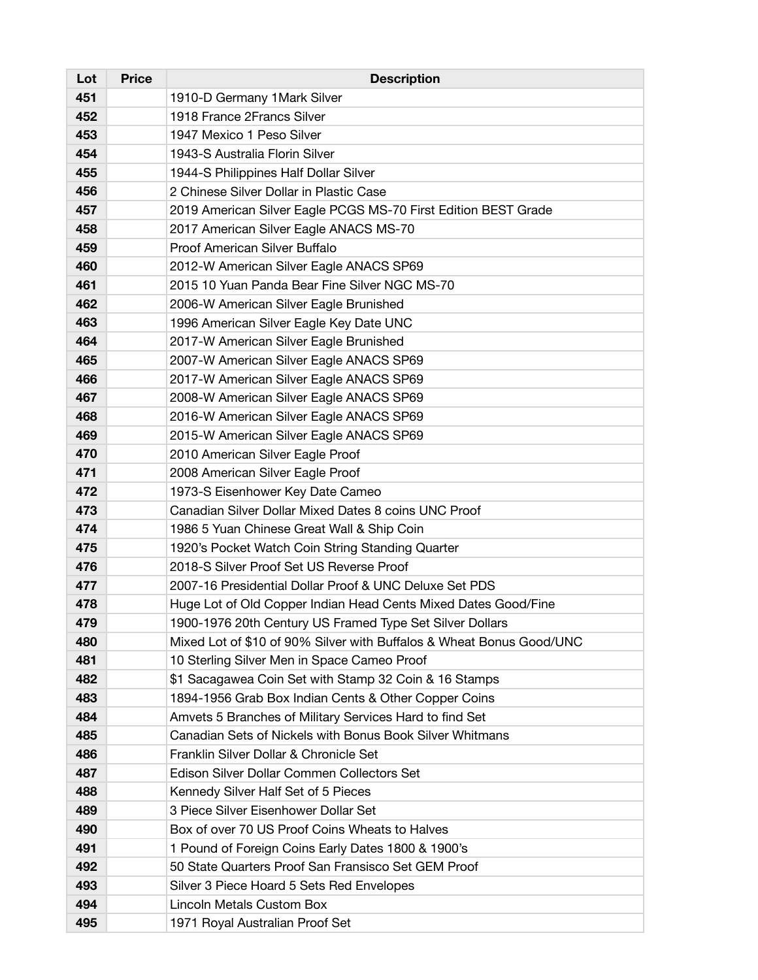| Lot | <b>Price</b> | <b>Description</b>                                                   |
|-----|--------------|----------------------------------------------------------------------|
| 451 |              | 1910-D Germany 1 Mark Silver                                         |
| 452 |              | 1918 France 2 Francs Silver                                          |
| 453 |              | 1947 Mexico 1 Peso Silver                                            |
| 454 |              | 1943-S Australia Florin Silver                                       |
| 455 |              | 1944-S Philippines Half Dollar Silver                                |
| 456 |              | 2 Chinese Silver Dollar in Plastic Case                              |
| 457 |              | 2019 American Silver Eagle PCGS MS-70 First Edition BEST Grade       |
| 458 |              | 2017 American Silver Eagle ANACS MS-70                               |
| 459 |              | Proof American Silver Buffalo                                        |
| 460 |              | 2012-W American Silver Eagle ANACS SP69                              |
| 461 |              | 2015 10 Yuan Panda Bear Fine Silver NGC MS-70                        |
| 462 |              | 2006-W American Silver Eagle Brunished                               |
| 463 |              | 1996 American Silver Eagle Key Date UNC                              |
| 464 |              | 2017-W American Silver Eagle Brunished                               |
| 465 |              | 2007-W American Silver Eagle ANACS SP69                              |
| 466 |              | 2017-W American Silver Eagle ANACS SP69                              |
| 467 |              | 2008-W American Silver Eagle ANACS SP69                              |
| 468 |              | 2016-W American Silver Eagle ANACS SP69                              |
| 469 |              | 2015-W American Silver Eagle ANACS SP69                              |
| 470 |              | 2010 American Silver Eagle Proof                                     |
| 471 |              | 2008 American Silver Eagle Proof                                     |
| 472 |              | 1973-S Eisenhower Key Date Cameo                                     |
| 473 |              | Canadian Silver Dollar Mixed Dates 8 coins UNC Proof                 |
| 474 |              | 1986 5 Yuan Chinese Great Wall & Ship Coin                           |
| 475 |              | 1920's Pocket Watch Coin String Standing Quarter                     |
| 476 |              | 2018-S Silver Proof Set US Reverse Proof                             |
| 477 |              | 2007-16 Presidential Dollar Proof & UNC Deluxe Set PDS               |
| 478 |              | Huge Lot of Old Copper Indian Head Cents Mixed Dates Good/Fine       |
| 479 |              | 1900-1976 20th Century US Framed Type Set Silver Dollars             |
| 480 |              | Mixed Lot of \$10 of 90% Silver with Buffalos & Wheat Bonus Good/UNC |
| 481 |              | 10 Sterling Silver Men in Space Cameo Proof                          |
| 482 |              | \$1 Sacagawea Coin Set with Stamp 32 Coin & 16 Stamps                |
| 483 |              | 1894-1956 Grab Box Indian Cents & Other Copper Coins                 |
| 484 |              | Amvets 5 Branches of Military Services Hard to find Set              |
| 485 |              | Canadian Sets of Nickels with Bonus Book Silver Whitmans             |
| 486 |              | Franklin Silver Dollar & Chronicle Set                               |
| 487 |              | Edison Silver Dollar Commen Collectors Set                           |
| 488 |              | Kennedy Silver Half Set of 5 Pieces                                  |
| 489 |              | 3 Piece Silver Eisenhower Dollar Set                                 |
| 490 |              | Box of over 70 US Proof Coins Wheats to Halves                       |
| 491 |              | 1 Pound of Foreign Coins Early Dates 1800 & 1900's                   |
| 492 |              | 50 State Quarters Proof San Fransisco Set GEM Proof                  |
| 493 |              | Silver 3 Piece Hoard 5 Sets Red Envelopes                            |
| 494 |              | Lincoln Metals Custom Box                                            |
| 495 |              | 1971 Royal Australian Proof Set                                      |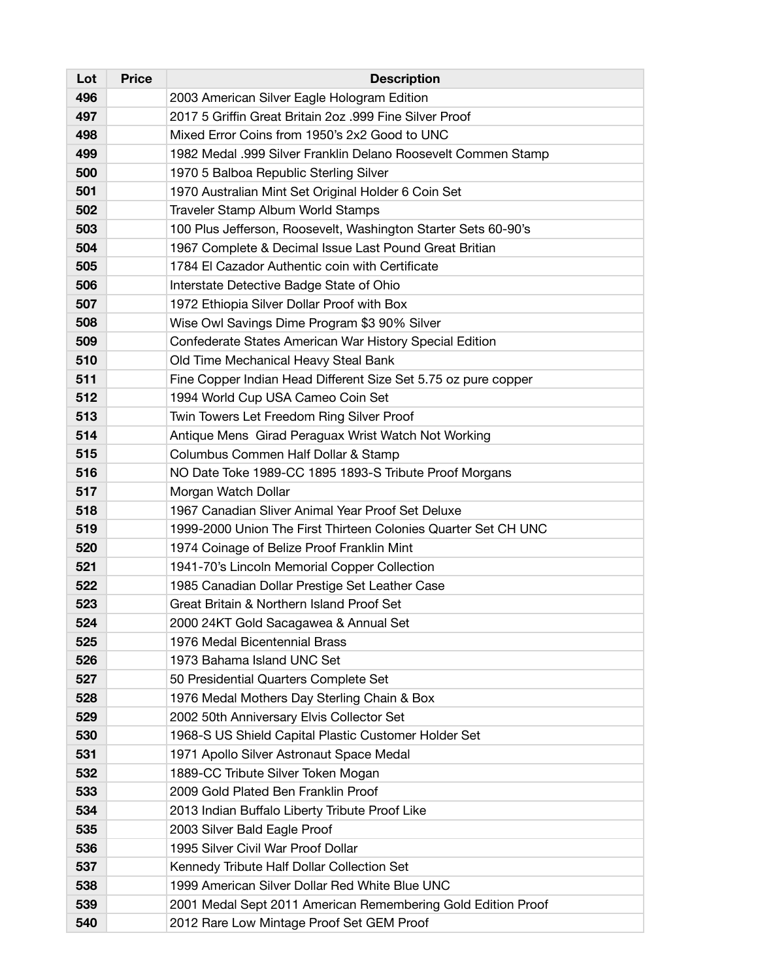| Lot | <b>Price</b> | <b>Description</b>                                             |
|-----|--------------|----------------------------------------------------------------|
| 496 |              | 2003 American Silver Eagle Hologram Edition                    |
| 497 |              | 2017 5 Griffin Great Britain 2oz .999 Fine Silver Proof        |
| 498 |              | Mixed Error Coins from 1950's 2x2 Good to UNC                  |
| 499 |              | 1982 Medal .999 Silver Franklin Delano Roosevelt Commen Stamp  |
| 500 |              | 1970 5 Balboa Republic Sterling Silver                         |
| 501 |              | 1970 Australian Mint Set Original Holder 6 Coin Set            |
| 502 |              | Traveler Stamp Album World Stamps                              |
| 503 |              | 100 Plus Jefferson, Roosevelt, Washington Starter Sets 60-90's |
| 504 |              | 1967 Complete & Decimal Issue Last Pound Great Britian         |
| 505 |              | 1784 El Cazador Authentic coin with Certificate                |
| 506 |              | Interstate Detective Badge State of Ohio                       |
| 507 |              | 1972 Ethiopia Silver Dollar Proof with Box                     |
| 508 |              | Wise Owl Savings Dime Program \$3 90% Silver                   |
| 509 |              | Confederate States American War History Special Edition        |
| 510 |              | Old Time Mechanical Heavy Steal Bank                           |
| 511 |              | Fine Copper Indian Head Different Size Set 5.75 oz pure copper |
| 512 |              | 1994 World Cup USA Cameo Coin Set                              |
| 513 |              | Twin Towers Let Freedom Ring Silver Proof                      |
| 514 |              | Antique Mens Girad Peraguax Wrist Watch Not Working            |
| 515 |              | Columbus Commen Half Dollar & Stamp                            |
| 516 |              | NO Date Toke 1989-CC 1895 1893-S Tribute Proof Morgans         |
| 517 |              | Morgan Watch Dollar                                            |
| 518 |              | 1967 Canadian Sliver Animal Year Proof Set Deluxe              |
| 519 |              | 1999-2000 Union The First Thirteen Colonies Quarter Set CH UNC |
| 520 |              | 1974 Coinage of Belize Proof Franklin Mint                     |
| 521 |              | 1941-70's Lincoln Memorial Copper Collection                   |
| 522 |              | 1985 Canadian Dollar Prestige Set Leather Case                 |
| 523 |              | Great Britain & Northern Island Proof Set                      |
| 524 |              | 2000 24KT Gold Sacagawea & Annual Set                          |
| 525 |              | 1976 Medal Bicentennial Brass                                  |
| 526 |              | 1973 Bahama Island UNC Set                                     |
| 527 |              | 50 Presidential Quarters Complete Set                          |
| 528 |              | 1976 Medal Mothers Day Sterling Chain & Box                    |
| 529 |              | 2002 50th Anniversary Elvis Collector Set                      |
| 530 |              | 1968-S US Shield Capital Plastic Customer Holder Set           |
| 531 |              | 1971 Apollo Silver Astronaut Space Medal                       |
| 532 |              | 1889-CC Tribute Silver Token Mogan                             |
| 533 |              | 2009 Gold Plated Ben Franklin Proof                            |
| 534 |              | 2013 Indian Buffalo Liberty Tribute Proof Like                 |
| 535 |              | 2003 Silver Bald Eagle Proof                                   |
| 536 |              | 1995 Silver Civil War Proof Dollar                             |
| 537 |              | Kennedy Tribute Half Dollar Collection Set                     |
| 538 |              | 1999 American Silver Dollar Red White Blue UNC                 |
| 539 |              | 2001 Medal Sept 2011 American Remembering Gold Edition Proof   |
| 540 |              | 2012 Rare Low Mintage Proof Set GEM Proof                      |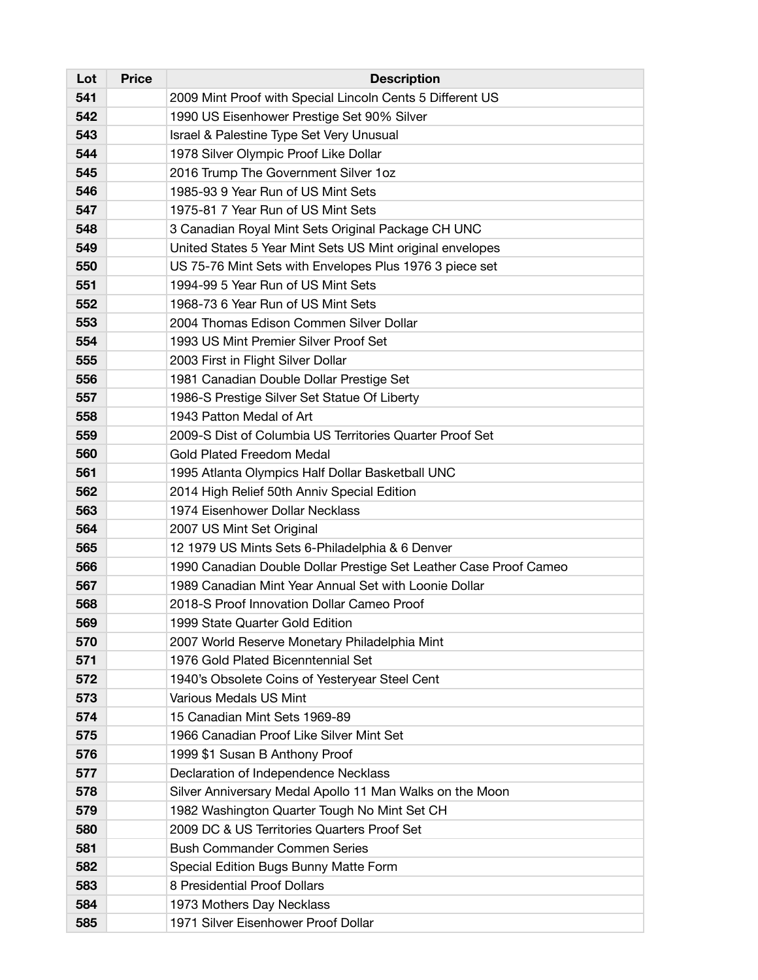| Lot | <b>Price</b> | <b>Description</b>                                                |
|-----|--------------|-------------------------------------------------------------------|
| 541 |              | 2009 Mint Proof with Special Lincoln Cents 5 Different US         |
| 542 |              | 1990 US Eisenhower Prestige Set 90% Silver                        |
| 543 |              | Israel & Palestine Type Set Very Unusual                          |
| 544 |              | 1978 Silver Olympic Proof Like Dollar                             |
| 545 |              | 2016 Trump The Government Silver 1oz                              |
| 546 |              | 1985-93 9 Year Run of US Mint Sets                                |
| 547 |              | 1975-81 7 Year Run of US Mint Sets                                |
| 548 |              | 3 Canadian Royal Mint Sets Original Package CH UNC                |
| 549 |              | United States 5 Year Mint Sets US Mint original envelopes         |
| 550 |              | US 75-76 Mint Sets with Envelopes Plus 1976 3 piece set           |
| 551 |              | 1994-99 5 Year Run of US Mint Sets                                |
| 552 |              | 1968-73 6 Year Run of US Mint Sets                                |
| 553 |              | 2004 Thomas Edison Commen Silver Dollar                           |
| 554 |              | 1993 US Mint Premier Silver Proof Set                             |
| 555 |              | 2003 First in Flight Silver Dollar                                |
| 556 |              | 1981 Canadian Double Dollar Prestige Set                          |
| 557 |              | 1986-S Prestige Silver Set Statue Of Liberty                      |
| 558 |              | 1943 Patton Medal of Art                                          |
| 559 |              | 2009-S Dist of Columbia US Territories Quarter Proof Set          |
| 560 |              | <b>Gold Plated Freedom Medal</b>                                  |
| 561 |              | 1995 Atlanta Olympics Half Dollar Basketball UNC                  |
| 562 |              | 2014 High Relief 50th Anniv Special Edition                       |
| 563 |              | 1974 Eisenhower Dollar Necklass                                   |
| 564 |              | 2007 US Mint Set Original                                         |
| 565 |              | 12 1979 US Mints Sets 6-Philadelphia & 6 Denver                   |
| 566 |              | 1990 Canadian Double Dollar Prestige Set Leather Case Proof Cameo |
| 567 |              | 1989 Canadian Mint Year Annual Set with Loonie Dollar             |
| 568 |              | 2018-S Proof Innovation Dollar Cameo Proof                        |
| 569 |              | 1999 State Quarter Gold Edition                                   |
| 570 |              | 2007 World Reserve Monetary Philadelphia Mint                     |
| 571 |              | 1976 Gold Plated Bicenntennial Set                                |
| 572 |              | 1940's Obsolete Coins of Yesteryear Steel Cent                    |
| 573 |              | Various Medals US Mint                                            |
| 574 |              | 15 Canadian Mint Sets 1969-89                                     |
| 575 |              | 1966 Canadian Proof Like Silver Mint Set                          |
| 576 |              | 1999 \$1 Susan B Anthony Proof                                    |
| 577 |              | Declaration of Independence Necklass                              |
| 578 |              | Silver Anniversary Medal Apollo 11 Man Walks on the Moon          |
| 579 |              | 1982 Washington Quarter Tough No Mint Set CH                      |
| 580 |              | 2009 DC & US Territories Quarters Proof Set                       |
| 581 |              | <b>Bush Commander Commen Series</b>                               |
| 582 |              | Special Edition Bugs Bunny Matte Form                             |
| 583 |              | 8 Presidential Proof Dollars                                      |
| 584 |              | 1973 Mothers Day Necklass                                         |
| 585 |              | 1971 Silver Eisenhower Proof Dollar                               |